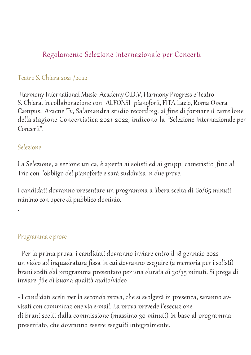# Regolamento Selezione internazionale per Concerti

#### Teatro S. Chiara 2021 / 2022

Harmony International Music Academy O.D.V, Harmony Progress e Teatro S. Chiara, in collaborazione con ALFONSI pianoforti,FITA Lazio, Roma Opera Campus, Aracne Tv, Salamandra studio recording, al fine di formare il cartellone della stagione Concertistica 2021-2022, indicono la "Selezione Internazionale per Concerti".

#### Selezione

.

La Selezione, a sezione unica, è aperta ai solisti ed ai gruppi cameristici fino al Trio con l'obbligo del pianoforte e sarà suddivisa in due prove.

I candidati dovranno presentare un programma a libera scelta di 60/65 minuti minimocon opere di pubblico dominio.

#### Programma e prove

- Per la prima prova i candidati dovranno inviare entro il 18 gennaio 2022 un video ad inquadratura fissa in cui dovranno eseguire (a memoria per i solisti) brani scelti dal programma presentato per una durata di 30/35 minuti. Si prega di inviare file di buona qualità audio/video

- I candidati scelti per la seconda prova, che si svolgerà in presenza, saranno avvisati con comunicazione via e-mail. La prova prevede l'esecuzione di brani scelti dalla commissione (massimo 30 minuti) in base al programma presentato, che dovranno essere eseguiti integralmente.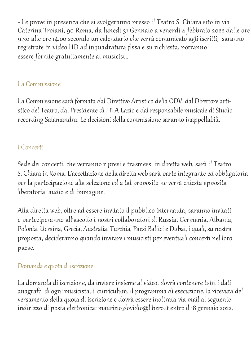- Le prove in presenza che si svolgeranno presso il Teatro S. Chiara sito in via Caterina Troiani, 90 Roma, da lunedì 31 Gennaio a venerdì 4 febbraio 2022 dalle ore 9.30 alle ore 14.00 secondo un calendario che verrà comunicato agli iscritti, saranno registrate in video HD ad inquadratura fissa e su richiesta, potranno essere fornite gratuitamente ai musicisti.

#### La Commissione

La Commissione sarà formata dal Direttivo Artistico della ODV, dal Direttore artistico del Teatro, dal Presidente di FITA Lazio e dal responsabile musicale di Studio recording Salamandra. Le decisioni della commissione saranno inappellabili.

# I Concerti

Sede dei concerti, che verranno ripresi e trasmessi in diretta web, sarà il Teatro S. Chiara in Roma. L'accettazione della diretta web sarà parte integrante ed obbligatoria per la partecipazione alla selezione ed a tal proposito ne verrà chiesta apposita liberatoria audio e di immagine.

Alla diretta web, oltre ad essere invitato il pubblico internauta, saranno invitati e parteciperanno all'ascolto i nostri collaboratori di Russia, Germania, Albania, Polonia, Ucraina, Grecia, Australia, Turchia, Paesi Baltici e Dubai, iquali, su nostra proposta, decideranno quando invitare i musicisti per eventuali concerti nel loro paese.

## Domanda e quota di iscrizione

La domanda di iscrizione, da inviare insieme al video, dovrà contenere tutti i dati anagrafci di ogni musicista, il curriculum, il programma di esecuzione, la ricevuta del versamento dellaquota di iscrizione e dovrà essere inoltrata via mail al seguente indirizzo di posta elettronica: maurizio\_dovidio@libero.it entro il 18gennaio 2022.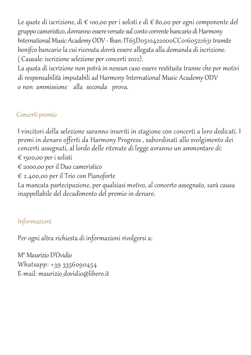Le quote di iscrizione, di € 100,00 per i solisti e di € 80,00 per ogni componente del gruppo cameristico, dovranno essere versate sul conto corrente bancario di Harmony International Music Academy ODV - Iban: IT65D0510422000CC0160522631 tramite bonifco bancario la cui ricevuta dovrà essere allegata alla domanda di iscrizione. ( Causale: iscrizione selezione per concerti 2022).

Laquota di iscrizione non potrà in nessun caso essere restituita tranne che per motivi di responsabilità imputabili ad Harmony International Music Academy ODV o non ammissione alla seconda prova.

# Concerti premio

I vincitori della selezione saranno inseriti in stagione con concerti a loro dedicati. I premi in denaro offerti da Harmony Progress , subordinati allo svolgimento dei concerti assegnati, al lordo delle ritenute di legge avranno un ammontare di: € 1500,00 per i solisti

€ 2000,00 per il Duo cameristico

€ 2.400,00 per il Trio con Pianoforte

La mancata partecipazione, per qualsiasi motivo, al concerto assegnato, sarà causa inappellabile del decadimento del premio in denaro.

# Informazioni

Per ogni altra richiesta di informazioni rivolgersi a:

M°Maurizio D'Ovidio Whatsapp: +39 3356090454 E-mail: maurizio\_dovidio@libero.it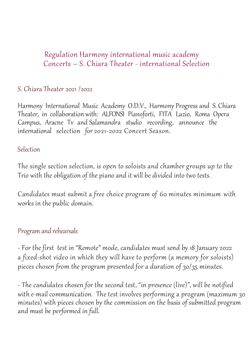# Regulation Harmony international music academy Concerts – S. Chiara Theater - international Selection

## S. Chiara Theater 2021 /2022

Harmony International Music Academy O.D.V., Harmony Progress and S. Chiara Theater, in collaboration with: ALFONSI Pianoforti, FITA Lazio, Roma Opera Campus, Aracne Tv and Salamandra studio recording, announce the international selection for 2021-2022 Concert Season.

### Selection

The single section selection, is open to soloists and chamber groups up to the Trio with the obligation of the piano and it will be divided into two tests.

Candidates must submit a free choice program of 60 minutes minimum with works in the public domain.

## Program and rehearsals

- For the first test in "Remote" mode, candidates must send by 18 January 2022 a fixed-shot video in which they will have to perform (a memory for soloists) pieces chosen from the program presented for a duration of 30/35 minutes.

- The candidates chosen for the second test, "in presence (live)", will be notified with e-mail communication. The test involves performing a program (maximum 30 minutes) with pieces chosen by the commission on the basis of submitted program and must be performed in full.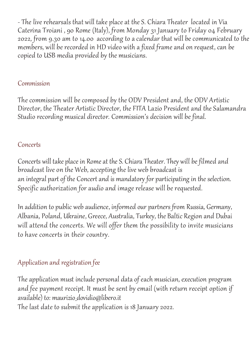- The live rehearsals that will take place at the S. Chiara Theater located in Via Caterina Troiani , 90 Rome (Italy), from Monday 31 January to Friday 04 February 2022, from 9.30 am to 14.00 according to a calendar that will be communicated to the members, will be recorded in HD video with a fixed frame and on request, can be copied to USB media provided by the musicians.

#### Commission

The commission will be composed by the ODV President and, the ODV Artistic Director, the Theater Artistic Director, the FITA Lazio President and the Salamandra Studio recording musical director. Commission's decision will be final.

## **Concerts**

Concerts will take place in Romeat the S. Chiara Theater. They will be filmed and broadcast live on the Web, accepting the live web broadcast is an integral part of the Concert and is mandatory for participating in the selection. Specific authorization for audio and image release will be requested.

In addition to public web audience, informed our partners from Russia, Germany, Albania, Poland, Ukraine, Greece, Australia, Turkey, the Baltic Region and Dubai will attend the concerts. We will offer them the possibility to invite musicians to have concerts in their country.

# Application and registration fee

The application must include personal data of each musician, execution program and fee payment receipt. It must be sent by email (with return receipt option if available) to: maurizio\_dovidio@libero.it

The last date to submit the application is 18 January 2022.